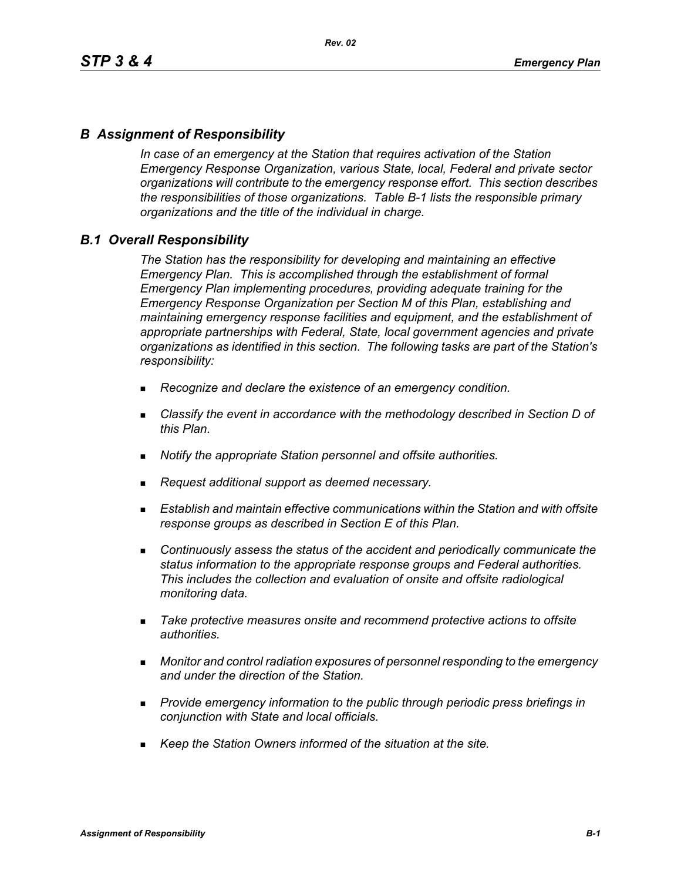# *B Assignment of Responsibility*

*In case of an emergency at the Station that requires activation of the Station Emergency Response Organization, various State, local, Federal and private sector organizations will contribute to the emergency response effort. This section describes the responsibilities of those organizations. Table B-1 lists the responsible primary organizations and the title of the individual in charge.*

## *B.1 Overall Responsibility*

*The Station has the responsibility for developing and maintaining an effective Emergency Plan. This is accomplished through the establishment of formal Emergency Plan implementing procedures, providing adequate training for the Emergency Response Organization per Section M of this Plan, establishing and maintaining emergency response facilities and equipment, and the establishment of appropriate partnerships with Federal, State, local government agencies and private organizations as identified in this section. The following tasks are part of the Station's responsibility:*

- *Recognize and declare the existence of an emergency condition.*
- *Classify the event in accordance with the methodology described in Section D of this Plan.*
- *Notify the appropriate Station personnel and offsite authorities.*
- *Request additional support as deemed necessary.*
- **Establish and maintain effective communications within the Station and with offsite** *response groups as described in Section E of this Plan.*
- *Continuously assess the status of the accident and periodically communicate the status information to the appropriate response groups and Federal authorities. This includes the collection and evaluation of onsite and offsite radiological monitoring data.*
- *Take protective measures onsite and recommend protective actions to offsite authorities.*
- *Monitor and control radiation exposures of personnel responding to the emergency and under the direction of the Station.*
- *Provide emergency information to the public through periodic press briefings in conjunction with State and local officials.*
- *Keep the Station Owners informed of the situation at the site.*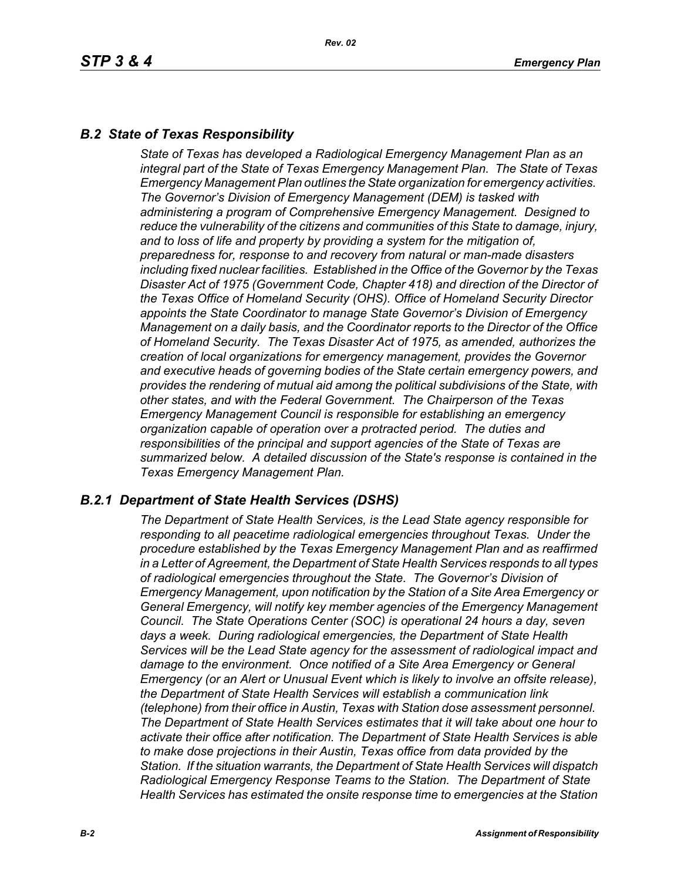# *B.2 State of Texas Responsibility*

*State of Texas has developed a Radiological Emergency Management Plan as an integral part of the State of Texas Emergency Management Plan. The State of Texas Emergency Management Plan outlines the State organization for emergency activities. The Governor's Division of Emergency Management (DEM) is tasked with administering a program of Comprehensive Emergency Management. Designed to reduce the vulnerability of the citizens and communities of this State to damage, injury, and to loss of life and property by providing a system for the mitigation of, preparedness for, response to and recovery from natural or man-made disasters including fixed nuclear facilities. Established in the Office of the Governor by the Texas Disaster Act of 1975 (Government Code, Chapter 418) and direction of the Director of the Texas Office of Homeland Security (OHS). Office of Homeland Security Director appoints the State Coordinator to manage State Governor's Division of Emergency Management on a daily basis, and the Coordinator reports to the Director of the Office of Homeland Security. The Texas Disaster Act of 1975, as amended, authorizes the creation of local organizations for emergency management, provides the Governor and executive heads of governing bodies of the State certain emergency powers, and provides the rendering of mutual aid among the political subdivisions of the State, with other states, and with the Federal Government. The Chairperson of the Texas Emergency Management Council is responsible for establishing an emergency organization capable of operation over a protracted period. The duties and responsibilities of the principal and support agencies of the State of Texas are summarized below. A detailed discussion of the State's response is contained in the Texas Emergency Management Plan.*

# *B.2.1 Department of State Health Services (DSHS)*

*The Department of State Health Services, is the Lead State agency responsible for responding to all peacetime radiological emergencies throughout Texas. Under the procedure established by the Texas Emergency Management Plan and as reaffirmed in a Letter of Agreement, the Department of State Health Services responds to all types of radiological emergencies throughout the State. The Governor's Division of Emergency Management, upon notification by the Station of a Site Area Emergency or General Emergency, will notify key member agencies of the Emergency Management Council. The State Operations Center (SOC) is operational 24 hours a day, seven days a week. During radiological emergencies, the Department of State Health Services will be the Lead State agency for the assessment of radiological impact and damage to the environment. Once notified of a Site Area Emergency or General Emergency (or an Alert or Unusual Event which is likely to involve an offsite release), the Department of State Health Services will establish a communication link (telephone) from their office in Austin, Texas with Station dose assessment personnel. The Department of State Health Services estimates that it will take about one hour to activate their office after notification. The Department of State Health Services is able to make dose projections in their Austin, Texas office from data provided by the Station. If the situation warrants, the Department of State Health Services will dispatch Radiological Emergency Response Teams to the Station. The Department of State Health Services has estimated the onsite response time to emergencies at the Station*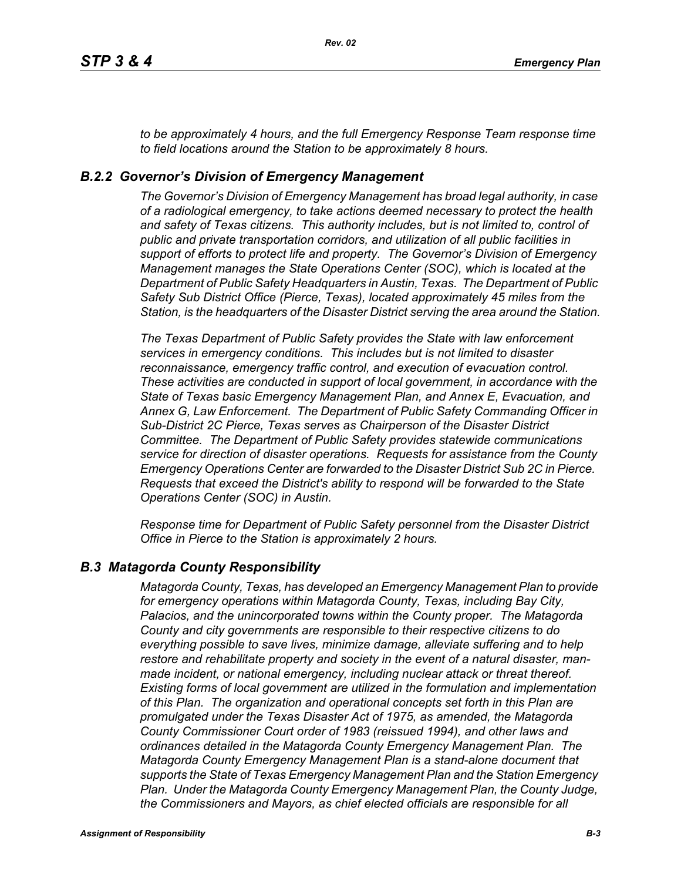*to be approximately 4 hours, and the full Emergency Response Team response time to field locations around the Station to be approximately 8 hours.*

## *B.2.2 Governor's Division of Emergency Management*

*The Governor's Division of Emergency Management has broad legal authority, in case of a radiological emergency, to take actions deemed necessary to protect the health and safety of Texas citizens. This authority includes, but is not limited to, control of public and private transportation corridors, and utilization of all public facilities in support of efforts to protect life and property. The Governor's Division of Emergency Management manages the State Operations Center (SOC), which is located at the Department of Public Safety Headquarters in Austin, Texas. The Department of Public Safety Sub District Office (Pierce, Texas), located approximately 45 miles from the Station, is the headquarters of the Disaster District serving the area around the Station.*

*The Texas Department of Public Safety provides the State with law enforcement services in emergency conditions. This includes but is not limited to disaster reconnaissance, emergency traffic control, and execution of evacuation control. These activities are conducted in support of local government, in accordance with the State of Texas basic Emergency Management Plan, and Annex E, Evacuation, and Annex G, Law Enforcement. The Department of Public Safety Commanding Officer in Sub-District 2C Pierce, Texas serves as Chairperson of the Disaster District Committee. The Department of Public Safety provides statewide communications service for direction of disaster operations. Requests for assistance from the County Emergency Operations Center are forwarded to the Disaster District Sub 2C in Pierce. Requests that exceed the District's ability to respond will be forwarded to the State Operations Center (SOC) in Austin.* 

*Response time for Department of Public Safety personnel from the Disaster District Office in Pierce to the Station is approximately 2 hours.*

## *B.3 Matagorda County Responsibility*

*Matagorda County, Texas, has developed an Emergency Management Plan to provide for emergency operations within Matagorda County, Texas, including Bay City, Palacios, and the unincorporated towns within the County proper. The Matagorda County and city governments are responsible to their respective citizens to do everything possible to save lives, minimize damage, alleviate suffering and to help restore and rehabilitate property and society in the event of a natural disaster, manmade incident, or national emergency, including nuclear attack or threat thereof. Existing forms of local government are utilized in the formulation and implementation of this Plan. The organization and operational concepts set forth in this Plan are promulgated under the Texas Disaster Act of 1975, as amended, the Matagorda County Commissioner Court order of 1983 (reissued 1994), and other laws and ordinances detailed in the Matagorda County Emergency Management Plan. The Matagorda County Emergency Management Plan is a stand-alone document that supports the State of Texas Emergency Management Plan and the Station Emergency Plan. Under the Matagorda County Emergency Management Plan, the County Judge, the Commissioners and Mayors, as chief elected officials are responsible for all*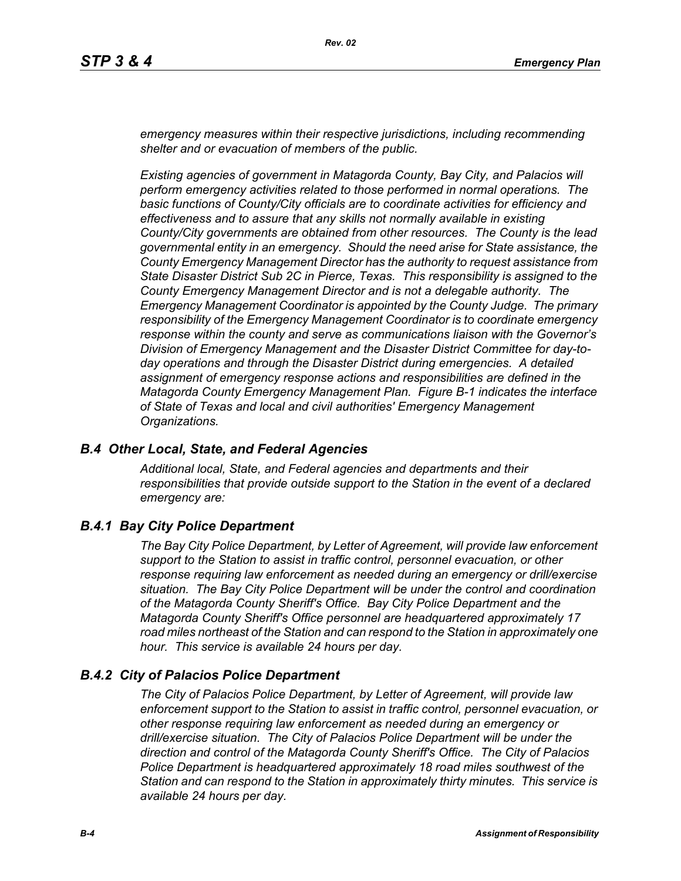*emergency measures within their respective jurisdictions, including recommending shelter and or evacuation of members of the public.* 

*Existing agencies of government in Matagorda County, Bay City, and Palacios will perform emergency activities related to those performed in normal operations. The basic functions of County/City officials are to coordinate activities for efficiency and effectiveness and to assure that any skills not normally available in existing County/City governments are obtained from other resources. The County is the lead governmental entity in an emergency. Should the need arise for State assistance, the County Emergency Management Director has the authority to request assistance from State Disaster District Sub 2C in Pierce, Texas. This responsibility is assigned to the County Emergency Management Director and is not a delegable authority. The Emergency Management Coordinator is appointed by the County Judge. The primary responsibility of the Emergency Management Coordinator is to coordinate emergency response within the county and serve as communications liaison with the Governor's Division of Emergency Management and the Disaster District Committee for day-today operations and through the Disaster District during emergencies. A detailed assignment of emergency response actions and responsibilities are defined in the Matagorda County Emergency Management Plan. Figure B-1 indicates the interface of State of Texas and local and civil authorities' Emergency Management Organizations.*

## *B.4 Other Local, State, and Federal Agencies*

*Additional local, State, and Federal agencies and departments and their responsibilities that provide outside support to the Station in the event of a declared emergency are:*

# *B.4.1 Bay City Police Department*

*The Bay City Police Department, by Letter of Agreement, will provide law enforcement support to the Station to assist in traffic control, personnel evacuation, or other response requiring law enforcement as needed during an emergency or drill/exercise situation. The Bay City Police Department will be under the control and coordination of the Matagorda County Sheriff's Office. Bay City Police Department and the Matagorda County Sheriff's Office personnel are headquartered approximately 17 road miles northeast of the Station and can respond to the Station in approximately one hour. This service is available 24 hours per day.*

# *B.4.2 City of Palacios Police Department*

*The City of Palacios Police Department, by Letter of Agreement, will provide law enforcement support to the Station to assist in traffic control, personnel evacuation, or other response requiring law enforcement as needed during an emergency or drill/exercise situation. The City of Palacios Police Department will be under the direction and control of the Matagorda County Sheriff's Office. The City of Palacios Police Department is headquartered approximately 18 road miles southwest of the Station and can respond to the Station in approximately thirty minutes. This service is available 24 hours per day.*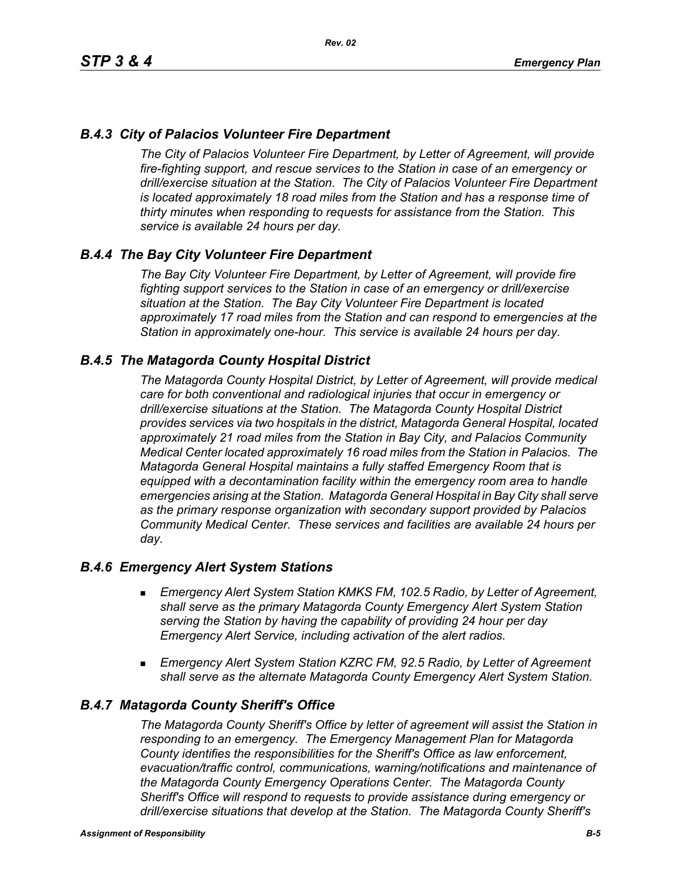# *B.4.3 City of Palacios Volunteer Fire Department*

*The City of Palacios Volunteer Fire Department, by Letter of Agreement, will provide fire-fighting support, and rescue services to the Station in case of an emergency or drill/exercise situation at the Station. The City of Palacios Volunteer Fire Department is located approximately 18 road miles from the Station and has a response time of thirty minutes when responding to requests for assistance from the Station. This service is available 24 hours per day.*

# *B.4.4 The Bay City Volunteer Fire Department*

*The Bay City Volunteer Fire Department, by Letter of Agreement, will provide fire fighting support services to the Station in case of an emergency or drill/exercise situation at the Station. The Bay City Volunteer Fire Department is located approximately 17 road miles from the Station and can respond to emergencies at the Station in approximately one-hour. This service is available 24 hours per day.*

## *B.4.5 The Matagorda County Hospital District*

*The Matagorda County Hospital District, by Letter of Agreement, will provide medical care for both conventional and radiological injuries that occur in emergency or drill/exercise situations at the Station. The Matagorda County Hospital District provides services via two hospitals in the district, Matagorda General Hospital, located approximately 21 road miles from the Station in Bay City, and Palacios Community Medical Center located approximately 16 road miles from the Station in Palacios. The Matagorda General Hospital maintains a fully staffed Emergency Room that is equipped with a decontamination facility within the emergency room area to handle emergencies arising at the Station. Matagorda General Hospital in Bay City shall serve as the primary response organization with secondary support provided by Palacios Community Medical Center. These services and facilities are available 24 hours per day.*

## *B.4.6 Emergency Alert System Stations*

- *Emergency Alert System Station KMKS FM, 102.5 Radio, by Letter of Agreement, shall serve as the primary Matagorda County Emergency Alert System Station serving the Station by having the capability of providing 24 hour per day Emergency Alert Service, including activation of the alert radios.*
- *Emergency Alert System Station KZRC FM, 92.5 Radio, by Letter of Agreement shall serve as the alternate Matagorda County Emergency Alert System Station.*

## *B.4.7 Matagorda County Sheriff's Office*

*The Matagorda County Sheriff's Office by letter of agreement will assist the Station in responding to an emergency. The Emergency Management Plan for Matagorda County identifies the responsibilities for the Sheriff's Office as law enforcement, evacuation/traffic control, communications, warning/notifications and maintenance of the Matagorda County Emergency Operations Center. The Matagorda County Sheriff's Office will respond to requests to provide assistance during emergency or drill/exercise situations that develop at the Station. The Matagorda County Sheriff's*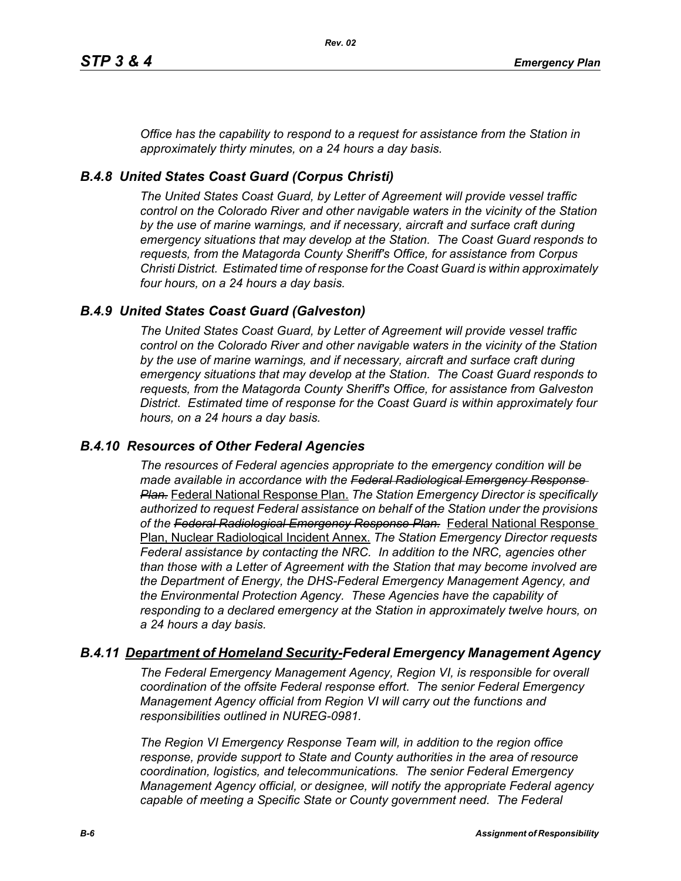*Office has the capability to respond to a request for assistance from the Station in approximately thirty minutes, on a 24 hours a day basis.*

# *B.4.8 United States Coast Guard (Corpus Christi)*

*The United States Coast Guard, by Letter of Agreement will provide vessel traffic control on the Colorado River and other navigable waters in the vicinity of the Station by the use of marine warnings, and if necessary, aircraft and surface craft during emergency situations that may develop at the Station. The Coast Guard responds to requests, from the Matagorda County Sheriff's Office, for assistance from Corpus Christi District. Estimated time of response for the Coast Guard is within approximately four hours, on a 24 hours a day basis.*

## *B.4.9 United States Coast Guard (Galveston)*

*The United States Coast Guard, by Letter of Agreement will provide vessel traffic control on the Colorado River and other navigable waters in the vicinity of the Station by the use of marine warnings, and if necessary, aircraft and surface craft during emergency situations that may develop at the Station. The Coast Guard responds to requests, from the Matagorda County Sheriff's Office, for assistance from Galveston District. Estimated time of response for the Coast Guard is within approximately four hours, on a 24 hours a day basis.*

## *B.4.10 Resources of Other Federal Agencies*

*The resources of Federal agencies appropriate to the emergency condition will be made available in accordance with the Federal Radiological Emergency Response Plan.* Federal National Response Plan. *The Station Emergency Director is specifically authorized to request Federal assistance on behalf of the Station under the provisions of the Federal Radiological Emergency Response Plan.* Federal National Response Plan, Nuclear Radiological Incident Annex. *The Station Emergency Director requests Federal assistance by contacting the NRC. In addition to the NRC, agencies other than those with a Letter of Agreement with the Station that may become involved are the Department of Energy, the DHS-Federal Emergency Management Agency, and the Environmental Protection Agency. These Agencies have the capability of responding to a declared emergency at the Station in approximately twelve hours, on a 24 hours a day basis.*

# *B.4.11 Department of Homeland Security-Federal Emergency Management Agency*

*The Federal Emergency Management Agency, Region VI, is responsible for overall coordination of the offsite Federal response effort. The senior Federal Emergency Management Agency official from Region VI will carry out the functions and responsibilities outlined in NUREG-0981.*

*The Region VI Emergency Response Team will, in addition to the region office response, provide support to State and County authorities in the area of resource coordination, logistics, and telecommunications. The senior Federal Emergency Management Agency official, or designee, will notify the appropriate Federal agency capable of meeting a Specific State or County government need. The Federal*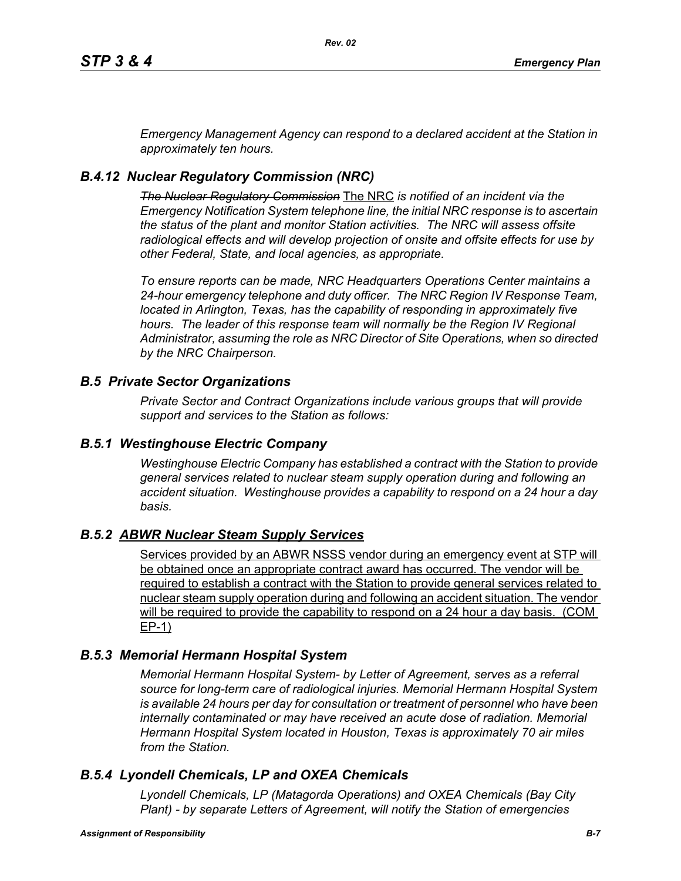*Emergency Management Agency can respond to a declared accident at the Station in approximately ten hours.*

# *B.4.12 Nuclear Regulatory Commission (NRC)*

*The Nuclear Regulatory Commission* The NRC *is notified of an incident via the Emergency Notification System telephone line, the initial NRC response is to ascertain the status of the plant and monitor Station activities. The NRC will assess offsite radiological effects and will develop projection of onsite and offsite effects for use by other Federal, State, and local agencies, as appropriate.*

*To ensure reports can be made, NRC Headquarters Operations Center maintains a 24-hour emergency telephone and duty officer. The NRC Region IV Response Team, located in Arlington, Texas, has the capability of responding in approximately five hours. The leader of this response team will normally be the Region IV Regional Administrator, assuming the role as NRC Director of Site Operations, when so directed by the NRC Chairperson.*

# *B.5 Private Sector Organizations*

*Private Sector and Contract Organizations include various groups that will provide support and services to the Station as follows:*

# *B.5.1 Westinghouse Electric Company*

*Westinghouse Electric Company has established a contract with the Station to provide general services related to nuclear steam supply operation during and following an accident situation. Westinghouse provides a capability to respond on a 24 hour a day basis.* 

# *B.5.2 ABWR Nuclear Steam Supply Services*

Services provided by an ABWR NSSS vendor during an emergency event at STP will be obtained once an appropriate contract award has occurred. The vendor will be required to establish a contract with the Station to provide general services related to nuclear steam supply operation during and following an accident situation. The vendor will be required to provide the capability to respond on a 24 hour a day basis. (COM EP-1)

# *B.5.3 Memorial Hermann Hospital System*

*Memorial Hermann Hospital System- by Letter of Agreement, serves as a referral source for long-term care of radiological injuries. Memorial Hermann Hospital System is available 24 hours per day for consultation or treatment of personnel who have been*  internally contaminated or may have received an acute dose of radiation. Memorial *Hermann Hospital System located in Houston, Texas is approximately 70 air miles from the Station.*

# *B.5.4 Lyondell Chemicals, LP and OXEA Chemicals*

*Lyondell Chemicals, LP (Matagorda Operations) and OXEA Chemicals (Bay City Plant) - by separate Letters of Agreement, will notify the Station of emergencies*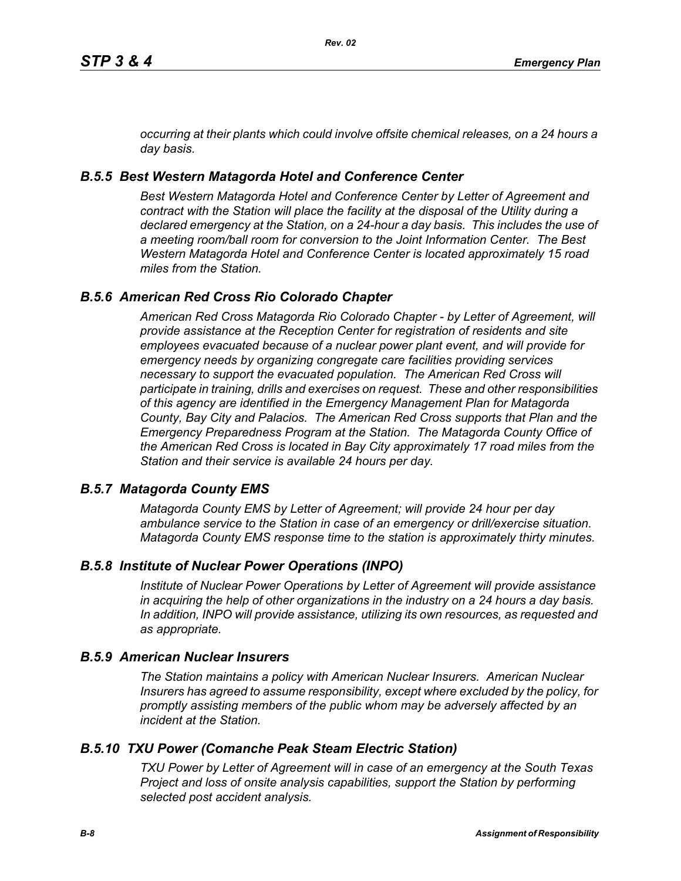*occurring at their plants which could involve offsite chemical releases, on a 24 hours a day basis.*

# *B.5.5 Best Western Matagorda Hotel and Conference Center*

*Best Western Matagorda Hotel and Conference Center by Letter of Agreement and contract with the Station will place the facility at the disposal of the Utility during a declared emergency at the Station, on a 24-hour a day basis. This includes the use of a meeting room/ball room for conversion to the Joint Information Center. The Best Western Matagorda Hotel and Conference Center is located approximately 15 road miles from the Station.*

# *B.5.6 American Red Cross Rio Colorado Chapter*

*American Red Cross Matagorda Rio Colorado Chapter - by Letter of Agreement, will provide assistance at the Reception Center for registration of residents and site employees evacuated because of a nuclear power plant event, and will provide for emergency needs by organizing congregate care facilities providing services necessary to support the evacuated population. The American Red Cross will participate in training, drills and exercises on request. These and other responsibilities of this agency are identified in the Emergency Management Plan for Matagorda County, Bay City and Palacios. The American Red Cross supports that Plan and the Emergency Preparedness Program at the Station. The Matagorda County Office of the American Red Cross is located in Bay City approximately 17 road miles from the Station and their service is available 24 hours per day.*

# *B.5.7 Matagorda County EMS*

*Matagorda County EMS by Letter of Agreement; will provide 24 hour per day ambulance service to the Station in case of an emergency or drill/exercise situation. Matagorda County EMS response time to the station is approximately thirty minutes.*

# *B.5.8 Institute of Nuclear Power Operations (INPO)*

*Institute of Nuclear Power Operations by Letter of Agreement will provide assistance in acquiring the help of other organizations in the industry on a 24 hours a day basis. In addition, INPO will provide assistance, utilizing its own resources, as requested and as appropriate.*

# *B.5.9 American Nuclear Insurers*

*The Station maintains a policy with American Nuclear Insurers. American Nuclear Insurers has agreed to assume responsibility, except where excluded by the policy, for promptly assisting members of the public whom may be adversely affected by an incident at the Station.*

# *B.5.10 TXU Power (Comanche Peak Steam Electric Station)*

*TXU Power by Letter of Agreement will in case of an emergency at the South Texas Project and loss of onsite analysis capabilities, support the Station by performing selected post accident analysis.*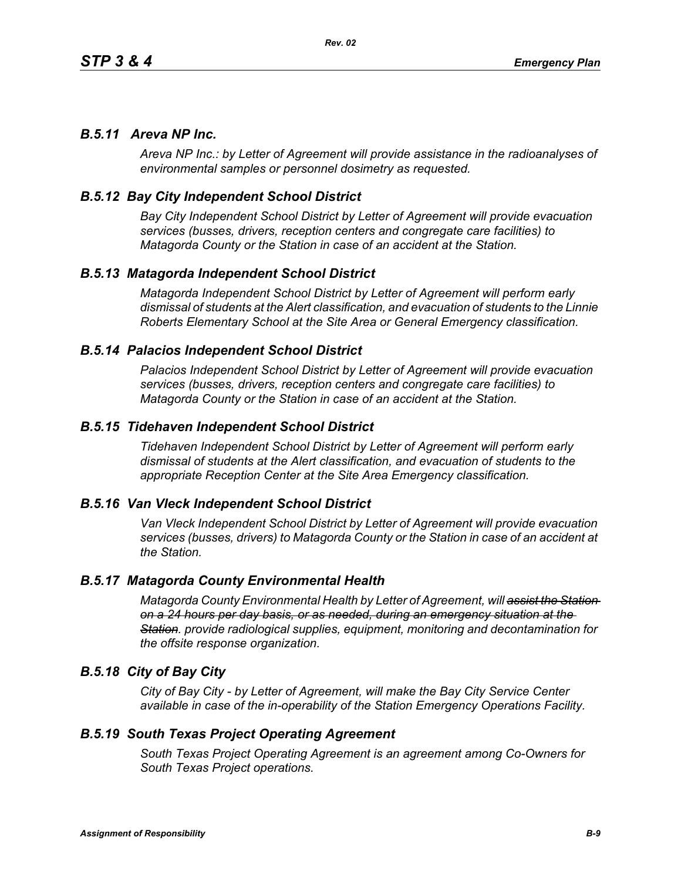## *B.5.11 Areva NP Inc.*

*Areva NP Inc.: by Letter of Agreement will provide assistance in the radioanalyses of environmental samples or personnel dosimetry as requested.*

## *B.5.12 Bay City Independent School District*

*Bay City Independent School District by Letter of Agreement will provide evacuation services (busses, drivers, reception centers and congregate care facilities) to Matagorda County or the Station in case of an accident at the Station.*

## *B.5.13 Matagorda Independent School District*

*Matagorda Independent School District by Letter of Agreement will perform early dismissal of students at the Alert classification, and evacuation of students to the Linnie Roberts Elementary School at the Site Area or General Emergency classification.*

### *B.5.14 Palacios Independent School District*

*Palacios Independent School District by Letter of Agreement will provide evacuation services (busses, drivers, reception centers and congregate care facilities) to Matagorda County or the Station in case of an accident at the Station.*

### *B.5.15 Tidehaven Independent School District*

*Tidehaven Independent School District by Letter of Agreement will perform early dismissal of students at the Alert classification, and evacuation of students to the appropriate Reception Center at the Site Area Emergency classification.*

### *B.5.16 Van Vleck Independent School District*

*Van Vleck Independent School District by Letter of Agreement will provide evacuation services (busses, drivers) to Matagorda County or the Station in case of an accident at the Station.*

#### *B.5.17 Matagorda County Environmental Health*

*Matagorda County Environmental Health by Letter of Agreement, will assist the Station on a 24 hours per day basis, or as needed, during an emergency situation at the Station. provide radiological supplies, equipment, monitoring and decontamination for the offsite response organization.* 

### *B.5.18 City of Bay City*

*City of Bay City - by Letter of Agreement, will make the Bay City Service Center available in case of the in-operability of the Station Emergency Operations Facility.*

## *B.5.19 South Texas Project Operating Agreement*

*South Texas Project Operating Agreement is an agreement among Co-Owners for South Texas Project operations.*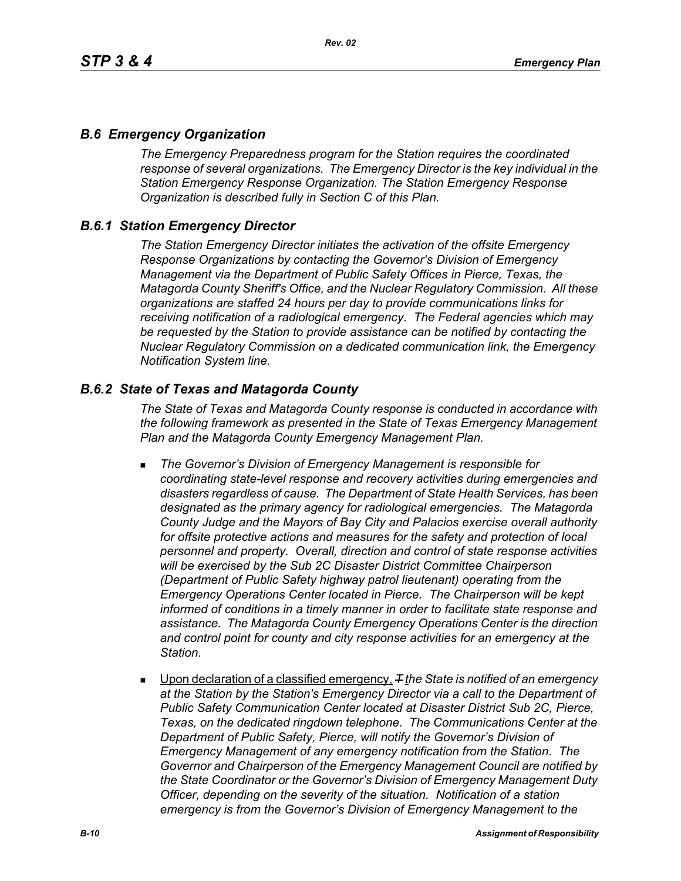# *B.6 Emergency Organization*

*The Emergency Preparedness program for the Station requires the coordinated response of several organizations. The Emergency Director is the key individual in the Station Emergency Response Organization. The Station Emergency Response Organization is described fully in Section C of this Plan.*

# *B.6.1 Station Emergency Director*

*The Station Emergency Director initiates the activation of the offsite Emergency Response Organizations by contacting the Governor's Division of Emergency Management via the Department of Public Safety Offices in Pierce, Texas, the Matagorda County Sheriff's Office, and the Nuclear Regulatory Commission. All these organizations are staffed 24 hours per day to provide communications links for receiving notification of a radiological emergency. The Federal agencies which may be requested by the Station to provide assistance can be notified by contacting the Nuclear Regulatory Commission on a dedicated communication link, the Emergency Notification System line.*

# *B.6.2 State of Texas and Matagorda County*

*The State of Texas and Matagorda County response is conducted in accordance with the following framework as presented in the State of Texas Emergency Management Plan and the Matagorda County Emergency Management Plan.*

- *The Governor's Division of Emergency Management is responsible for coordinating state-level response and recovery activities during emergencies and disasters regardless of cause. The Department of State Health Services, has been designated as the primary agency for radiological emergencies. The Matagorda County Judge and the Mayors of Bay City and Palacios exercise overall authority*  for offsite protective actions and measures for the safety and protection of local *personnel and property. Overall, direction and control of state response activities will be exercised by the Sub 2C Disaster District Committee Chairperson (Department of Public Safety highway patrol lieutenant) operating from the Emergency Operations Center located in Pierce. The Chairperson will be kept informed of conditions in a timely manner in order to facilitate state response and assistance. The Matagorda County Emergency Operations Center is the direction and control point for county and city response activities for an emergency at the Station.*
- Upon declaration of a classified emergency,  $\mp$  the State is notified of an emergency *at the Station by the Station's Emergency Director via a call to the Department of Public Safety Communication Center located at Disaster District Sub 2C, Pierce, Texas, on the dedicated ringdown telephone. The Communications Center at the Department of Public Safety, Pierce, will notify the Governor's Division of Emergency Management of any emergency notification from the Station. The Governor and Chairperson of the Emergency Management Council are notified by the State Coordinator or the Governor's Division of Emergency Management Duty Officer, depending on the severity of the situation. Notification of a station emergency is from the Governor's Division of Emergency Management to the*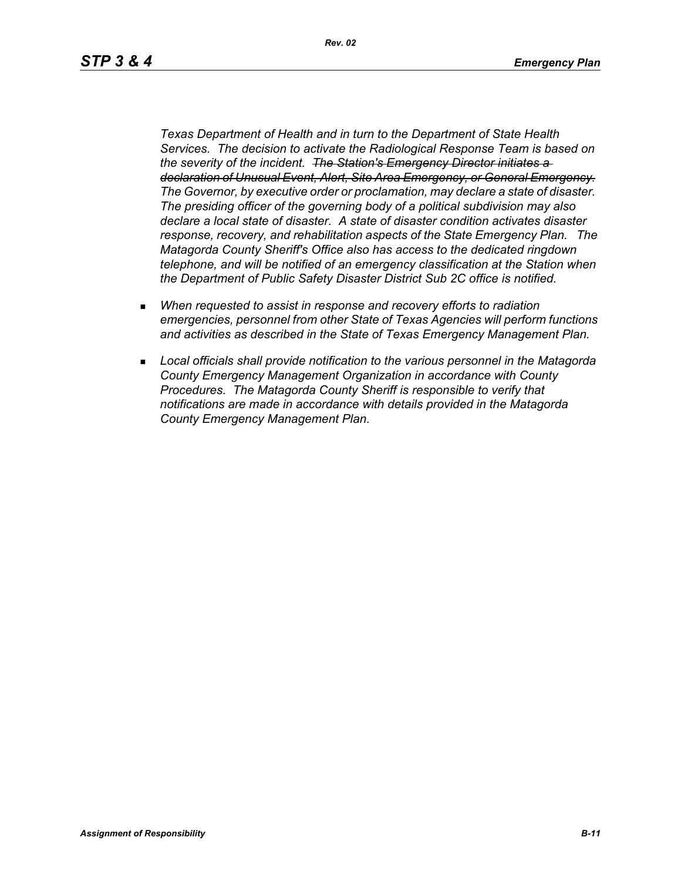*Rev. 02*

*Texas Department of Health and in turn to the Department of State Health Services. The decision to activate the Radiological Response Team is based on the severity of the incident. The Station's Emergency Director initiates a declaration of Unusual Event, Alert, Site Area Emergency, or General Emergency. The Governor, by executive order or proclamation, may declare a state of disaster. The presiding officer of the governing body of a political subdivision may also declare a local state of disaster. A state of disaster condition activates disaster response, recovery, and rehabilitation aspects of the State Emergency Plan. The Matagorda County Sheriff's Office also has access to the dedicated ringdown telephone, and will be notified of an emergency classification at the Station when the Department of Public Safety Disaster District Sub 2C office is notified.*

- *When requested to assist in response and recovery efforts to radiation emergencies, personnel from other State of Texas Agencies will perform functions and activities as described in the State of Texas Emergency Management Plan.*
- *Local officials shall provide notification to the various personnel in the Matagorda County Emergency Management Organization in accordance with County Procedures. The Matagorda County Sheriff is responsible to verify that notifications are made in accordance with details provided in the Matagorda County Emergency Management Plan.*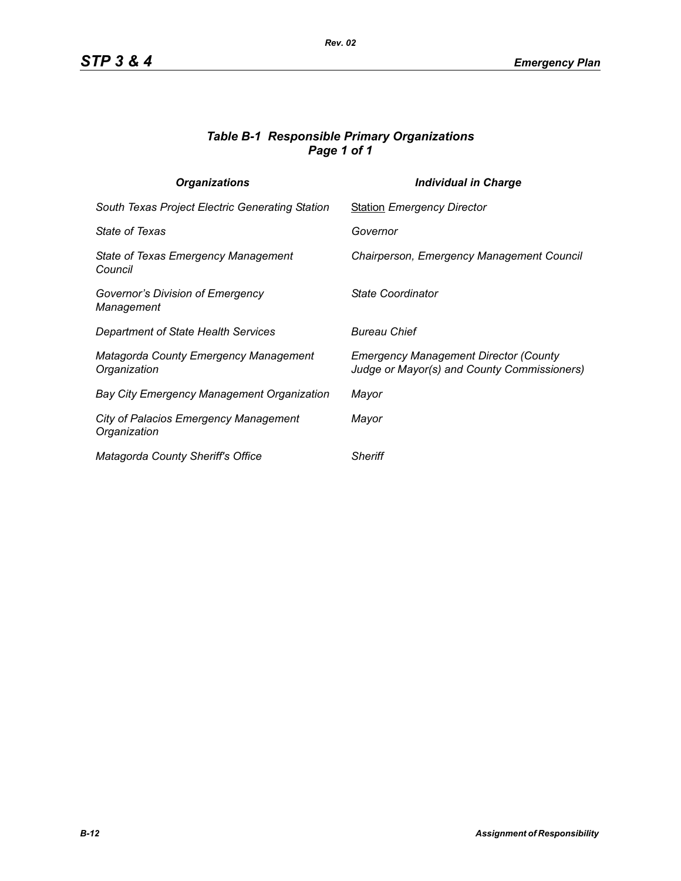# *Table B-1 Responsible Primary Organizations Page 1 of 1*

| <b>Organizations</b>                                  | <b>Individual in Charge</b>                                                                 |
|-------------------------------------------------------|---------------------------------------------------------------------------------------------|
| South Texas Project Electric Generating Station       | <b>Station Emergency Director</b>                                                           |
| State of Texas                                        | Governor                                                                                    |
| State of Texas Emergency Management<br>Council        | Chairperson, Emergency Management Council                                                   |
| Governor's Division of Emergency<br>Management        | State Coordinator                                                                           |
| Department of State Health Services                   | <b>Bureau Chief</b>                                                                         |
| Matagorda County Emergency Management<br>Organization | <b>Emergency Management Director (County</b><br>Judge or Mayor(s) and County Commissioners) |
| <b>Bay City Emergency Management Organization</b>     | Mayor                                                                                       |
| City of Palacios Emergency Management<br>Organization | Mayor                                                                                       |
| Matagorda County Sheriff's Office                     | <b>Sheriff</b>                                                                              |